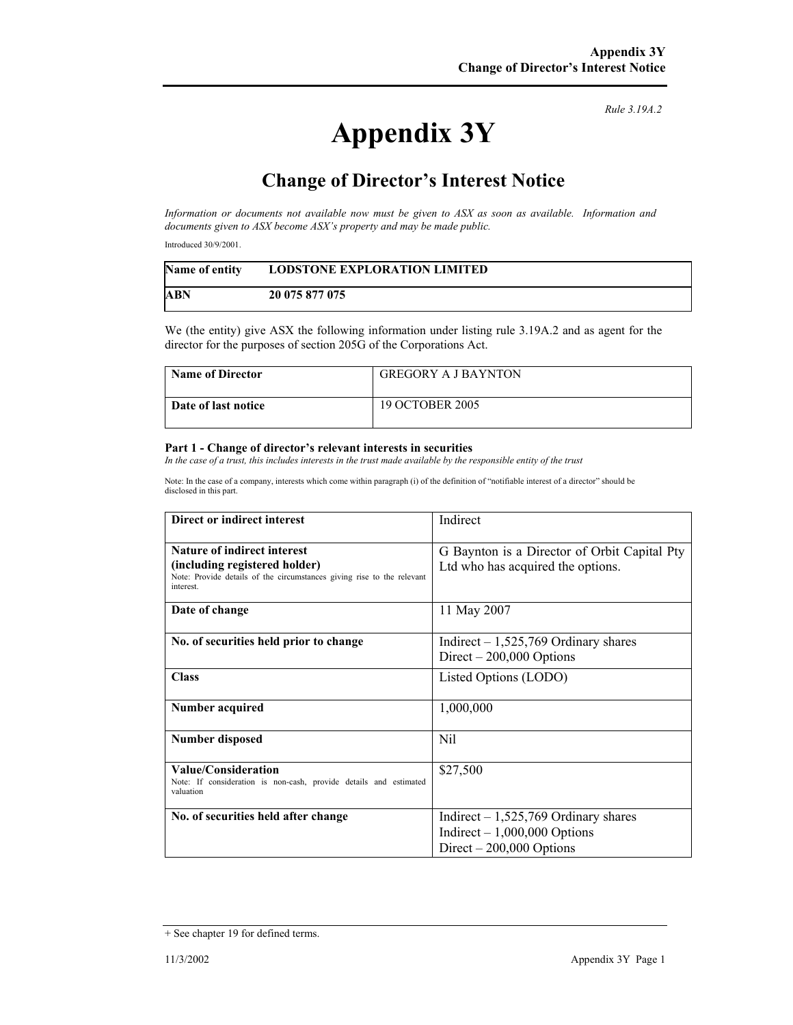*Rule 3.19A.2*

## **Appendix 3Y**

## **Change of Director's Interest Notice**

*Information or documents not available now must be given to ASX as soon as available. Information and documents given to ASX become ASX's property and may be made public.* 

Introduced 30/9/2001.

| <b>Name of entity</b> | <b>LODSTONE EXPLORATION LIMITED</b> |
|-----------------------|-------------------------------------|
| <b>ABN</b>            | 20 075 877 075                      |

We (the entity) give ASX the following information under listing rule 3.19A.2 and as agent for the director for the purposes of section 205G of the Corporations Act.

| Name of Director    | <b>GREGORY A J BAYNTON</b> |
|---------------------|----------------------------|
| Date of last notice | <b>19 OCTOBER 2005</b>     |

## **Part 1 - Change of director's relevant interests in securities**

*In the case of a trust, this includes interests in the trust made available by the responsible entity of the trust* 

Note: In the case of a company, interests which come within paragraph (i) of the definition of "notifiable interest of a director" should be disclosed in this part.

| Direct or indirect interest                                                                                                                         | Indirect                                                                                            |
|-----------------------------------------------------------------------------------------------------------------------------------------------------|-----------------------------------------------------------------------------------------------------|
| Nature of indirect interest<br>(including registered holder)<br>Note: Provide details of the circumstances giving rise to the relevant<br>interest. | G Baynton is a Director of Orbit Capital Pty<br>Ltd who has acquired the options.                   |
| Date of change                                                                                                                                      | 11 May 2007                                                                                         |
| No. of securities held prior to change                                                                                                              | Indirect $-1,525,769$ Ordinary shares<br>Direct $-200,000$ Options                                  |
| <b>Class</b>                                                                                                                                        | Listed Options (LODO)                                                                               |
| Number acquired                                                                                                                                     | 1,000,000                                                                                           |
| <b>Number disposed</b>                                                                                                                              | Nil                                                                                                 |
| <b>Value/Consideration</b><br>Note: If consideration is non-cash, provide details and estimated<br>valuation                                        | \$27,500                                                                                            |
| No. of securities held after change                                                                                                                 | Indirect $-1,525,769$ Ordinary shares<br>Indirect $-1,000,000$ Options<br>Direct $-200,000$ Options |

<sup>+</sup> See chapter 19 for defined terms.